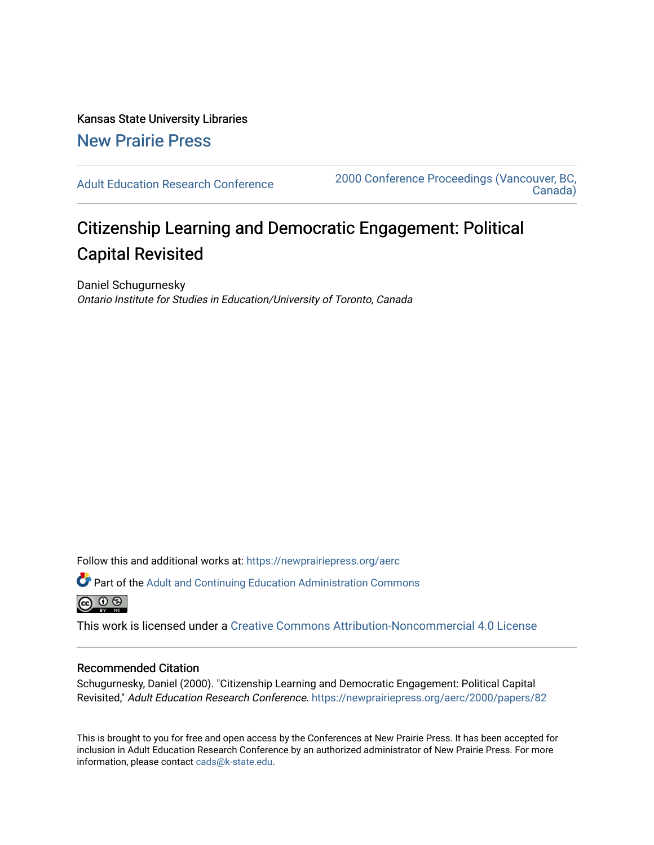Kansas State University Libraries [New Prairie Press](https://newprairiepress.org/) 

[Adult Education Research Conference](https://newprairiepress.org/aerc) [2000 Conference Proceedings \(Vancouver, BC,](https://newprairiepress.org/aerc/2000)  [Canada\)](https://newprairiepress.org/aerc/2000) 

# Citizenship Learning and Democratic Engagement: Political Capital Revisited

Daniel Schugurnesky Ontario Institute for Studies in Education/University of Toronto, Canada

Follow this and additional works at: [https://newprairiepress.org/aerc](https://newprairiepress.org/aerc?utm_source=newprairiepress.org%2Faerc%2F2000%2Fpapers%2F82&utm_medium=PDF&utm_campaign=PDFCoverPages)

Part of the [Adult and Continuing Education Administration Commons](http://network.bepress.com/hgg/discipline/789?utm_source=newprairiepress.org%2Faerc%2F2000%2Fpapers%2F82&utm_medium=PDF&utm_campaign=PDFCoverPages) <u>ெ ெ ⊜</u>

This work is licensed under a [Creative Commons Attribution-Noncommercial 4.0 License](https://creativecommons.org/licenses/by-nc/4.0/)

# Recommended Citation

Schugurnesky, Daniel (2000). "Citizenship Learning and Democratic Engagement: Political Capital Revisited," Adult Education Research Conference. <https://newprairiepress.org/aerc/2000/papers/82>

This is brought to you for free and open access by the Conferences at New Prairie Press. It has been accepted for inclusion in Adult Education Research Conference by an authorized administrator of New Prairie Press. For more information, please contact [cads@k-state.edu](mailto:cads@k-state.edu).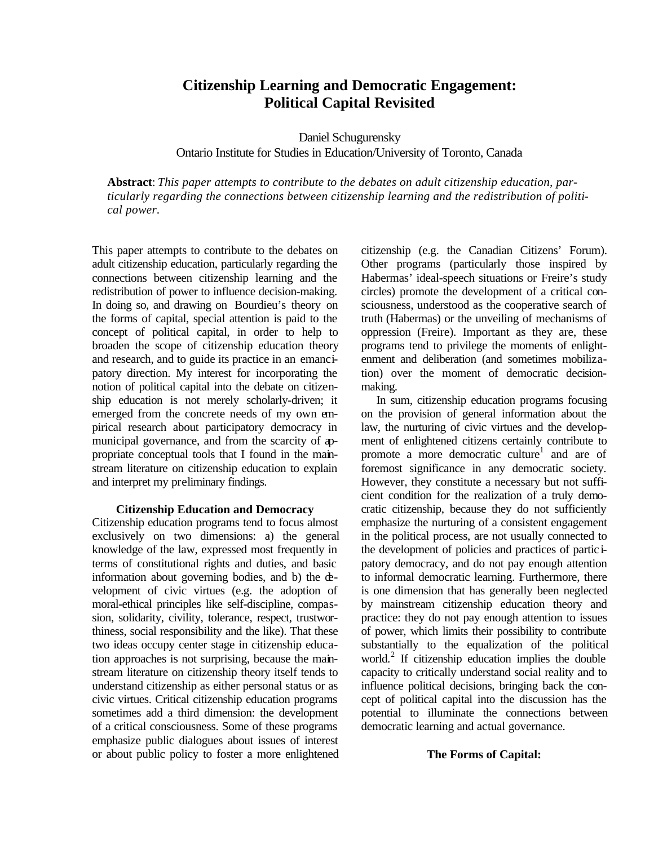# **Citizenship Learning and Democratic Engagement: Political Capital Revisited**

Daniel Schugurensky Ontario Institute for Studies in Education/University of Toronto, Canada

**Abstract**: *This paper attempts to contribute to the debates on adult citizenship education, particularly regarding the connections between citizenship learning and the redistribution of political power.*

This paper attempts to contribute to the debates on adult citizenship education, particularly regarding the connections between citizenship learning and the redistribution of power to influence decision-making. In doing so, and drawing on Bourdieu's theory on the forms of capital, special attention is paid to the concept of political capital, in order to help to broaden the scope of citizenship education theory and research, and to guide its practice in an emancipatory direction. My interest for incorporating the notion of political capital into the debate on citizenship education is not merely scholarly-driven; it emerged from the concrete needs of my own empirical research about participatory democracy in municipal governance, and from the scarcity of appropriate conceptual tools that I found in the mainstream literature on citizenship education to explain and interpret my preliminary findings.

#### **Citizenship Education and Democracy**

Citizenship education programs tend to focus almost exclusively on two dimensions: a) the general knowledge of the law, expressed most frequently in terms of constitutional rights and duties, and basic information about governing bodies, and b) the development of civic virtues (e.g. the adoption of moral-ethical principles like self-discipline, compassion, solidarity, civility, tolerance, respect, trustworthiness, social responsibility and the like). That these two ideas occupy center stage in citizenship education approaches is not surprising, because the mainstream literature on citizenship theory itself tends to understand citizenship as either personal status or as civic virtues. Critical citizenship education programs sometimes add a third dimension: the development of a critical consciousness. Some of these programs emphasize public dialogues about issues of interest or about public policy to foster a more enlightened

citizenship (e.g. the Canadian Citizens' Forum). Other programs (particularly those inspired by Habermas' ideal-speech situations or Freire's study circles) promote the development of a critical consciousness, understood as the cooperative search of truth (Habermas) or the unveiling of mechanisms of oppression (Freire). Important as they are, these programs tend to privilege the moments of enlightenment and deliberation (and sometimes mobilization) over the moment of democratic decisionmaking.

In sum, citizenship education programs focusing on the provision of general information about the law, the nurturing of civic virtues and the development of enlightened citizens certainly contribute to promote a more democratic culture<sup>1</sup> and are of foremost significance in any democratic society. However, they constitute a necessary but not sufficient condition for the realization of a truly democratic citizenship, because they do not sufficiently emphasize the nurturing of a consistent engagement in the political process, are not usually connected to the development of policies and practices of partic ipatory democracy, and do not pay enough attention to informal democratic learning. Furthermore, there is one dimension that has generally been neglected by mainstream citizenship education theory and practice: they do not pay enough attention to issues of power, which limits their possibility to contribute substantially to the equalization of the political world.<sup>2</sup> If citizenship education implies the double capacity to critically understand social reality and to influence political decisions, bringing back the concept of political capital into the discussion has the potential to illuminate the connections between democratic learning and actual governance.

#### **The Forms of Capital:**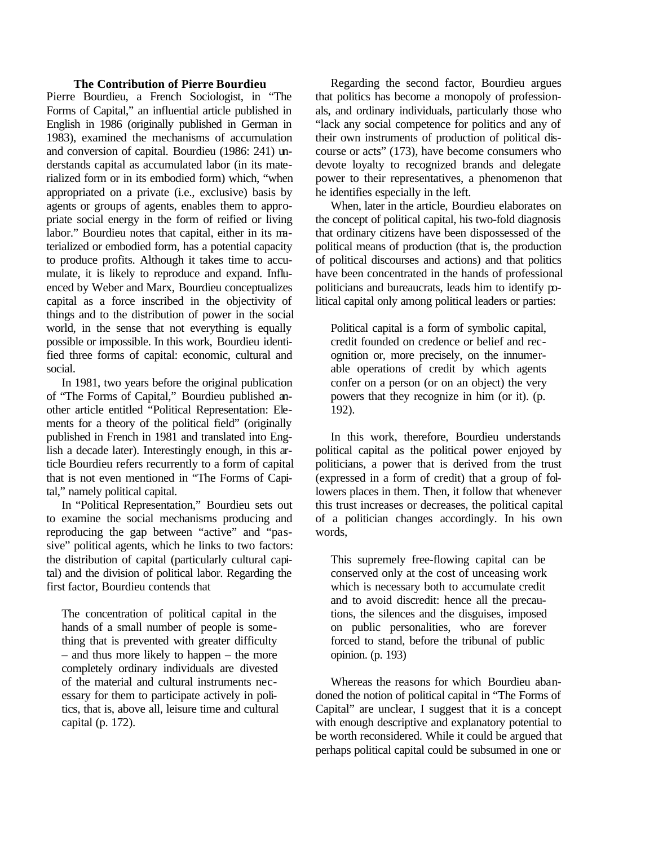### **The Contribution of Pierre Bourdieu**

Pierre Bourdieu, a French Sociologist, in "The Forms of Capital," an influential article published in English in 1986 (originally published in German in 1983), examined the mechanisms of accumulation and conversion of capital. Bourdieu (1986: 241) understands capital as accumulated labor (in its materialized form or in its embodied form) which, "when appropriated on a private (i.e., exclusive) basis by agents or groups of agents, enables them to appropriate social energy in the form of reified or living labor." Bourdieu notes that capital, either in its materialized or embodied form, has a potential capacity to produce profits. Although it takes time to accumulate, it is likely to reproduce and expand. Influenced by Weber and Marx, Bourdieu conceptualizes capital as a force inscribed in the objectivity of things and to the distribution of power in the social world, in the sense that not everything is equally possible or impossible. In this work, Bourdieu identified three forms of capital: economic, cultural and social.

In 1981, two years before the original publication of "The Forms of Capital," Bourdieu published another article entitled "Political Representation: Elements for a theory of the political field" (originally published in French in 1981 and translated into English a decade later). Interestingly enough, in this article Bourdieu refers recurrently to a form of capital that is not even mentioned in "The Forms of Capital," namely political capital.

In "Political Representation," Bourdieu sets out to examine the social mechanisms producing and reproducing the gap between "active" and "passive" political agents, which he links to two factors: the distribution of capital (particularly cultural capital) and the division of political labor. Regarding the first factor, Bourdieu contends that

The concentration of political capital in the hands of a small number of people is something that is prevented with greater difficulty – and thus more likely to happen – the more completely ordinary individuals are divested of the material and cultural instruments necessary for them to participate actively in politics, that is, above all, leisure time and cultural capital (p. 172).

Regarding the second factor, Bourdieu argues that politics has become a monopoly of professionals, and ordinary individuals, particularly those who "lack any social competence for politics and any of their own instruments of production of political discourse or acts" (173), have become consumers who devote loyalty to recognized brands and delegate power to their representatives, a phenomenon that he identifies especially in the left.

When, later in the article, Bourdieu elaborates on the concept of political capital, his two-fold diagnosis that ordinary citizens have been dispossessed of the political means of production (that is, the production of political discourses and actions) and that politics have been concentrated in the hands of professional politicians and bureaucrats, leads him to identify political capital only among political leaders or parties:

Political capital is a form of symbolic capital, credit founded on credence or belief and recognition or, more precisely, on the innumerable operations of credit by which agents confer on a person (or on an object) the very powers that they recognize in him (or it). (p. 192).

In this work, therefore, Bourdieu understands political capital as the political power enjoyed by politicians, a power that is derived from the trust (expressed in a form of credit) that a group of followers places in them. Then, it follow that whenever this trust increases or decreases, the political capital of a politician changes accordingly. In his own words,

This supremely free-flowing capital can be conserved only at the cost of unceasing work which is necessary both to accumulate credit and to avoid discredit: hence all the precautions, the silences and the disguises, imposed on public personalities, who are forever forced to stand, before the tribunal of public opinion. (p. 193)

Whereas the reasons for which Bourdieu abandoned the notion of political capital in "The Forms of Capital" are unclear, I suggest that it is a concept with enough descriptive and explanatory potential to be worth reconsidered. While it could be argued that perhaps political capital could be subsumed in one or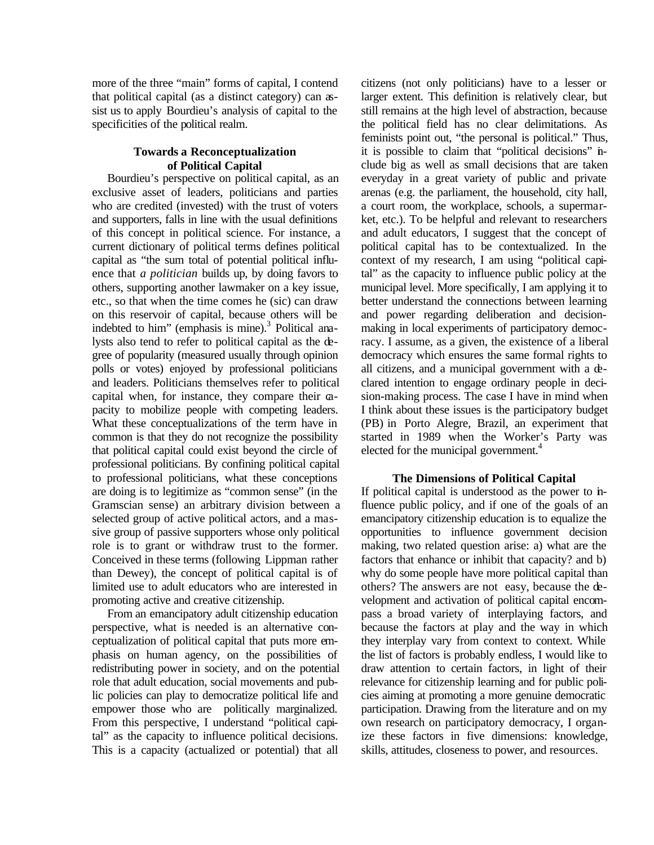more of the three "main" forms of capital, I contend that political capital (as a distinct category) can assist us to apply Bourdieu's analysis of capital to the specificities of the political realm.

### **Towards a Reconceptualization of Political Capital**

Bourdieu's perspective on political capital, as an exclusive asset of leaders, politicians and parties who are credited (invested) with the trust of voters and supporters, falls in line with the usual definitions of this concept in political science. For instance, a current dictionary of political terms defines political capital as "the sum total of potential political influence that *a politician* builds up, by doing favors to others, supporting another lawmaker on a key issue, etc., so that when the time comes he (sic) can draw on this reservoir of capital, because others will be indebted to him" (emphasis is mine).<sup>3</sup> Political analysts also tend to refer to political capital as the degree of popularity (measured usually through opinion polls or votes) enjoyed by professional politicians and leaders. Politicians themselves refer to political capital when, for instance, they compare their capacity to mobilize people with competing leaders. What these conceptualizations of the term have in common is that they do not recognize the possibility that political capital could exist beyond the circle of professional politicians. By confining political capital to professional politicians, what these conceptions are doing is to legitimize as "common sense" (in the Gramscian sense) an arbitrary division between a selected group of active political actors, and a massive group of passive supporters whose only political role is to grant or withdraw trust to the former. Conceived in these terms (following Lippman rather than Dewey), the concept of political capital is of limited use to adult educators who are interested in promoting active and creative citizenship.

From an emancipatory adult citizenship education perspective, what is needed is an alternative conceptualization of political capital that puts more emphasis on human agency, on the possibilities of redistributing power in society, and on the potential role that adult education, social movements and public policies can play to democratize political life and empower those who are politically marginalized. From this perspective, I understand "political capital" as the capacity to influence political decisions. This is a capacity (actualized or potential) that all

citizens (not only politicians) have to a lesser or larger extent. This definition is relatively clear, but still remains at the high level of abstraction, because the political field has no clear delimitations. As feminists point out, "the personal is political." Thus, it is possible to claim that "political decisions" include big as well as small decisions that are taken everyday in a great variety of public and private arenas (e.g. the parliament, the household, city hall, a court room, the workplace, schools, a supermarket, etc.). To be helpful and relevant to researchers and adult educators, I suggest that the concept of political capital has to be contextualized. In the context of my research, I am using "political capital" as the capacity to influence public policy at the municipal level. More specifically, I am applying it to better understand the connections between learning and power regarding deliberation and decisionmaking in local experiments of participatory democracy. I assume, as a given, the existence of a liberal democracy which ensures the same formal rights to all citizens, and a municipal government with a declared intention to engage ordinary people in decision-making process. The case I have in mind when I think about these issues is the participatory budget (PB) in Porto Alegre, Brazil, an experiment that started in 1989 when the Worker's Party was elected for the municipal government.<sup>4</sup>

#### **The Dimensions of Political Capital**

If political capital is understood as the power to influence public policy, and if one of the goals of an emancipatory citizenship education is to equalize the opportunities to influence government decision making, two related question arise: a) what are the factors that enhance or inhibit that capacity? and b) why do some people have more political capital than others? The answers are not easy, because the development and activation of political capital encompass a broad variety of interplaying factors, and because the factors at play and the way in which they interplay vary from context to context. While the list of factors is probably endless, I would like to draw attention to certain factors, in light of their relevance for citizenship learning and for public policies aiming at promoting a more genuine democratic participation. Drawing from the literature and on my own research on participatory democracy, I organize these factors in five dimensions: knowledge, skills, attitudes, closeness to power, and resources.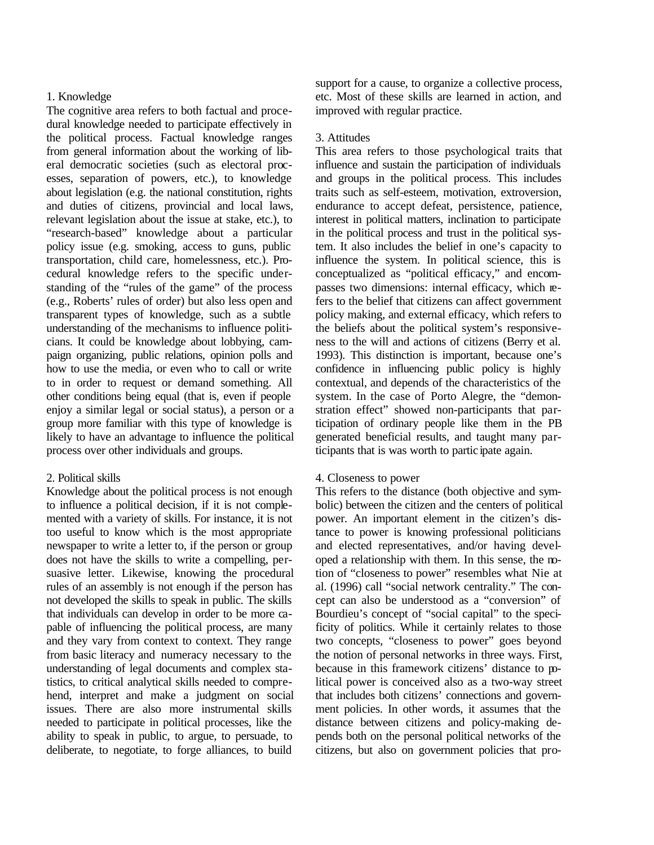# 1. Knowledge

The cognitive area refers to both factual and procedural knowledge needed to participate effectively in the political process. Factual knowledge ranges from general information about the working of liberal democratic societies (such as electoral processes, separation of powers, etc.), to knowledge about legislation (e.g. the national constitution, rights and duties of citizens, provincial and local laws, relevant legislation about the issue at stake, etc.), to "research-based" knowledge about a particular policy issue (e.g. smoking, access to guns, public transportation, child care, homelessness, etc.). Procedural knowledge refers to the specific understanding of the "rules of the game" of the process (e.g., Roberts' rules of order) but also less open and transparent types of knowledge, such as a subtle understanding of the mechanisms to influence politicians. It could be knowledge about lobbying, campaign organizing, public relations, opinion polls and how to use the media, or even who to call or write to in order to request or demand something. All other conditions being equal (that is, even if people enjoy a similar legal or social status), a person or a group more familiar with this type of knowledge is likely to have an advantage to influence the political process over other individuals and groups.

# 2. Political skills

Knowledge about the political process is not enough to influence a political decision, if it is not complemented with a variety of skills. For instance, it is not too useful to know which is the most appropriate newspaper to write a letter to, if the person or group does not have the skills to write a compelling, persuasive letter. Likewise, knowing the procedural rules of an assembly is not enough if the person has not developed the skills to speak in public. The skills that individuals can develop in order to be more capable of influencing the political process, are many and they vary from context to context. They range from basic literacy and numeracy necessary to the understanding of legal documents and complex statistics, to critical analytical skills needed to comprehend, interpret and make a judgment on social issues. There are also more instrumental skills needed to participate in political processes, like the ability to speak in public, to argue, to persuade, to deliberate, to negotiate, to forge alliances, to build

support for a cause, to organize a collective process, etc. Most of these skills are learned in action, and improved with regular practice.

# 3. Attitudes

This area refers to those psychological traits that influence and sustain the participation of individuals and groups in the political process. This includes traits such as self-esteem, motivation, extroversion, endurance to accept defeat, persistence, patience, interest in political matters, inclination to participate in the political process and trust in the political system. It also includes the belief in one's capacity to influence the system. In political science, this is conceptualized as "political efficacy," and encompasses two dimensions: internal efficacy, which refers to the belief that citizens can affect government policy making, and external efficacy, which refers to the beliefs about the political system's responsiveness to the will and actions of citizens (Berry et al. 1993). This distinction is important, because one's confidence in influencing public policy is highly contextual, and depends of the characteristics of the system. In the case of Porto Alegre, the "demonstration effect" showed non-participants that participation of ordinary people like them in the PB generated beneficial results, and taught many participants that is was worth to partic ipate again.

# 4. Closeness to power

This refers to the distance (both objective and symbolic) between the citizen and the centers of political power. An important element in the citizen's distance to power is knowing professional politicians and elected representatives, and/or having developed a relationship with them. In this sense, the notion of "closeness to power" resembles what Nie at al. (1996) call "social network centrality." The concept can also be understood as a "conversion" of Bourdieu's concept of "social capital" to the specificity of politics. While it certainly relates to those two concepts, "closeness to power" goes beyond the notion of personal networks in three ways. First, because in this framework citizens' distance to political power is conceived also as a two-way street that includes both citizens' connections and government policies. In other words, it assumes that the distance between citizens and policy-making depends both on the personal political networks of the citizens, but also on government policies that pro-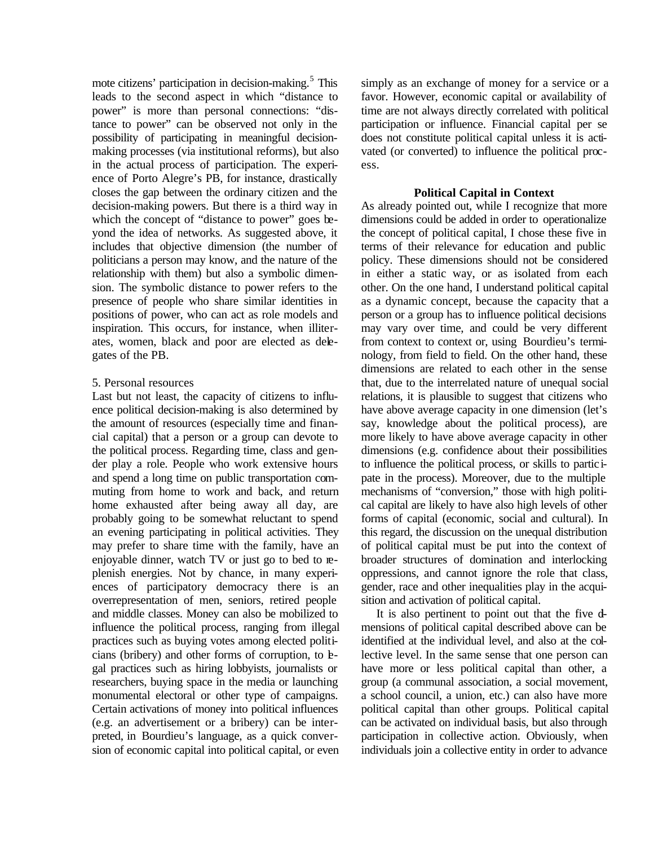mote citizens' participation in decision-making.<sup>5</sup> This leads to the second aspect in which "distance to power" is more than personal connections: "distance to power" can be observed not only in the possibility of participating in meaningful decisionmaking processes (via institutional reforms), but also in the actual process of participation. The experience of Porto Alegre's PB, for instance, drastically closes the gap between the ordinary citizen and the decision-making powers. But there is a third way in which the concept of "distance to power" goes beyond the idea of networks. As suggested above, it includes that objective dimension (the number of politicians a person may know, and the nature of the relationship with them) but also a symbolic dimension. The symbolic distance to power refers to the presence of people who share similar identities in positions of power, who can act as role models and inspiration. This occurs, for instance, when illiterates, women, black and poor are elected as delegates of the PB.

#### 5. Personal resources

Last but not least, the capacity of citizens to influence political decision-making is also determined by the amount of resources (especially time and financial capital) that a person or a group can devote to the political process. Regarding time, class and gender play a role. People who work extensive hours and spend a long time on public transportation commuting from home to work and back, and return home exhausted after being away all day, are probably going to be somewhat reluctant to spend an evening participating in political activities. They may prefer to share time with the family, have an enjoyable dinner, watch TV or just go to bed to replenish energies. Not by chance, in many experiences of participatory democracy there is an overrepresentation of men, seniors, retired people and middle classes. Money can also be mobilized to influence the political process, ranging from illegal practices such as buying votes among elected politicians (bribery) and other forms of corruption, to legal practices such as hiring lobbyists, journalists or researchers, buying space in the media or launching monumental electoral or other type of campaigns. Certain activations of money into political influences (e.g. an advertisement or a bribery) can be interpreted, in Bourdieu's language, as a quick conversion of economic capital into political capital, or even simply as an exchange of money for a service or a favor. However, economic capital or availability of time are not always directly correlated with political participation or influence. Financial capital per se does not constitute political capital unless it is activated (or converted) to influence the political process.

## **Political Capital in Context**

As already pointed out, while I recognize that more dimensions could be added in order to operationalize the concept of political capital, I chose these five in terms of their relevance for education and public policy. These dimensions should not be considered in either a static way, or as isolated from each other. On the one hand, I understand political capital as a dynamic concept, because the capacity that a person or a group has to influence political decisions may vary over time, and could be very different from context to context or, using Bourdieu's terminology, from field to field. On the other hand, these dimensions are related to each other in the sense that, due to the interrelated nature of unequal social relations, it is plausible to suggest that citizens who have above average capacity in one dimension (let's say, knowledge about the political process), are more likely to have above average capacity in other dimensions (e.g. confidence about their possibilities to influence the political process, or skills to participate in the process). Moreover, due to the multiple mechanisms of "conversion," those with high political capital are likely to have also high levels of other forms of capital (economic, social and cultural). In this regard, the discussion on the unequal distribution of political capital must be put into the context of broader structures of domination and interlocking oppressions, and cannot ignore the role that class, gender, race and other inequalities play in the acquisition and activation of political capital.

It is also pertinent to point out that the five dmensions of political capital described above can be identified at the individual level, and also at the collective level. In the same sense that one person can have more or less political capital than other, a group (a communal association, a social movement, a school council, a union, etc.) can also have more political capital than other groups. Political capital can be activated on individual basis, but also through participation in collective action. Obviously, when individuals join a collective entity in order to advance